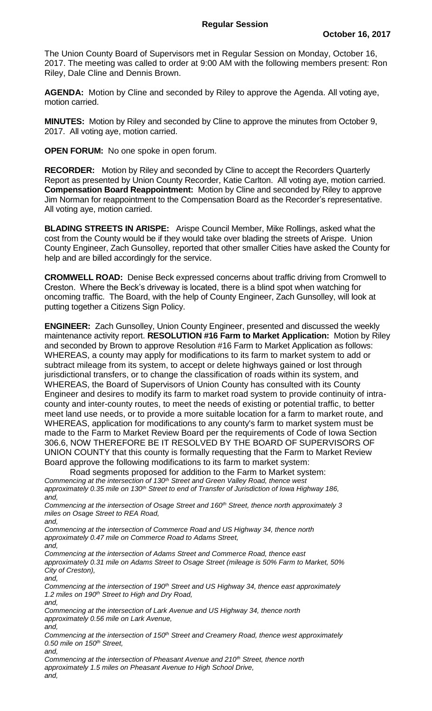The Union County Board of Supervisors met in Regular Session on Monday, October 16, 2017. The meeting was called to order at 9:00 AM with the following members present: Ron Riley, Dale Cline and Dennis Brown.

**AGENDA:** Motion by Cline and seconded by Riley to approve the Agenda. All voting aye, motion carried.

**MINUTES:** Motion by Riley and seconded by Cline to approve the minutes from October 9, 2017. All voting aye, motion carried.

**OPEN FORUM:** No one spoke in open forum.

**RECORDER:** Motion by Riley and seconded by Cline to accept the Recorders Quarterly Report as presented by Union County Recorder, Katie Carlton. All voting aye, motion carried. **Compensation Board Reappointment:** Motion by Cline and seconded by Riley to approve Jim Norman for reappointment to the Compensation Board as the Recorder's representative. All voting aye, motion carried.

**BLADING STREETS IN ARISPE:** Arispe Council Member, Mike Rollings, asked what the cost from the County would be if they would take over blading the streets of Arispe. Union County Engineer, Zach Gunsolley, reported that other smaller Cities have asked the County for help and are billed accordingly for the service.

**CROMWELL ROAD:** Denise Beck expressed concerns about traffic driving from Cromwell to Creston. Where the Beck's driveway is located, there is a blind spot when watching for oncoming traffic. The Board, with the help of County Engineer, Zach Gunsolley, will look at putting together a Citizens Sign Policy.

**ENGINEER:** Zach Gunsolley, Union County Engineer, presented and discussed the weekly maintenance activity report. **RESOLUTION #16 Farm to Market Application:** Motion by Riley and seconded by Brown to approve Resolution #16 Farm to Market Application as follows: WHEREAS, a county may apply for modifications to its farm to market system to add or subtract mileage from its system, to accept or delete highways gained or lost through jurisdictional transfers, or to change the classification of roads within its system, and WHEREAS, the Board of Supervisors of Union County has consulted with its County Engineer and desires to modify its farm to market road system to provide continuity of intracounty and inter-county routes, to meet the needs of existing or potential traffic, to better meet land use needs, or to provide a more suitable location for a farm to market route, and WHEREAS, application for modifications to any county's farm to market system must be made to the Farm to Market Review Board per the requirements of Code of Iowa Section 306.6, NOW THEREFORE BE IT RESOLVED BY THE BOARD OF SUPERVISORS OF UNION COUNTY that this county is formally requesting that the Farm to Market Review Board approve the following modifications to its farm to market system:

Road segments proposed for addition to the Farm to Market system: *Commencing at the intersection of 130th Street and Green Valley Road, thence west approximately 0.35 mile on 130th Street to end of Transfer of Jurisdiction of Iowa Highway 186, and,*

*Commencing at the intersection of Osage Street and 160th Street, thence north approximately 3 miles on Osage Street to REA Road, and,*

*Commencing at the intersection of Commerce Road and US Highway 34, thence north approximately 0.47 mile on Commerce Road to Adams Street, and,*

*Commencing at the intersection of Adams Street and Commerce Road, thence east approximately 0.31 mile on Adams Street to Osage Street (mileage is 50% Farm to Market, 50% City of Creston), and,*

*Commencing at the intersection of 190th Street and US Highway 34, thence east approximately 1.2 miles on 190th Street to High and Dry Road, and,*

*Commencing at the intersection of Lark Avenue and US Highway 34, thence north approximately 0.56 mile on Lark Avenue,*

*and,*

*Commencing at the intersection of 150th Street and Creamery Road, thence west approximately 0.50 mile on 150th Street,*

*and,*

*Commencing at the intersection of Pheasant Avenue and 210th Street, thence north approximately 1.5 miles on Pheasant Avenue to High School Drive, and,*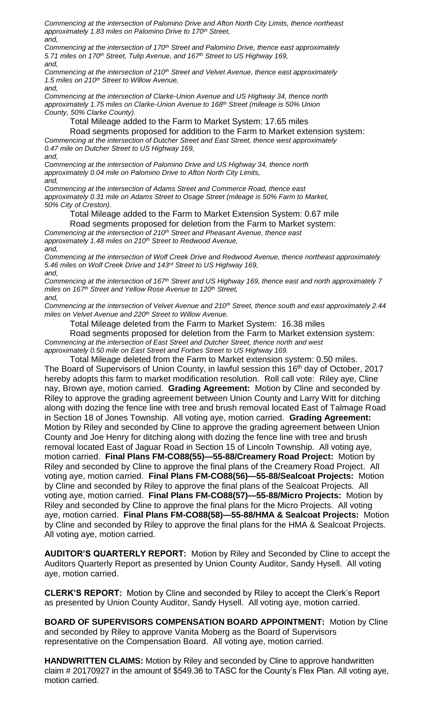*Commencing at the intersection of Palomino Drive and Afton North City Limits, thence northeast approximately 1.83 miles on Palomino Drive to 170th Street, and,*

*Commencing at the intersection of 170th Street and Palomino Drive, thence east approximately 5.71 miles on 170th Street, Tulip Avenue, and 167th Street to US Highway 169, and,*

*Commencing at the intersection of 210th Street and Velvet Avenue, thence east approximately 1.5 miles on 210th Street to Willow Avenue,*

*and,*

*Commencing at the intersection of Clarke-Union Avenue and US Highway 34, thence north approximately 1.75 miles on Clarke-Union Avenue to 168th Street (mileage is 50% Union County, 50% Clarke County).*

Total Mileage added to the Farm to Market System: 17.65 miles

Road segments proposed for addition to the Farm to Market extension system: *Commencing at the intersection of Dutcher Street and East Street, thence west approximately 0.47 mile on Dutcher Street to US Highway 169, and,*

*Commencing at the intersection of Palomino Drive and US Highway 34, thence north approximately 0.04 mile on Palomino Drive to Afton North City Limits, and,*

*Commencing at the intersection of Adams Street and Commerce Road, thence east approximately 0.31 mile on Adams Street to Osage Street (mileage is 50% Farm to Market, 50% City of Creston).*

Total Mileage added to the Farm to Market Extension System: 0.67 mile

Road segments proposed for deletion from the Farm to Market system: *Commencing at the intersection of 210th Street and Pheasant Avenue, thence east approximately 1.48 miles on 210th Street to Redwood Avenue,*

*and,*

*Commencing at the intersection of Wolf Creek Drive and Redwood Avenue, thence northeast approximately 5.46 miles on Wolf Creek Drive and 143rd Street to US Highway 169, and,*

*Commencing at the intersection of 167th Street and US Highway 169, thence east and north approximately 7 miles on 167th Street and Yellow Rose Avenue to 120th Street, and,*

*Commencing at the intersection of Velvet Avenue and 210th Street, thence south and east approximately 2.44 miles on Velvet Avenue and 220th Street to Willow Avenue.*

Total Mileage deleted from the Farm to Market System: 16.38 miles

Road segments proposed for deletion from the Farm to Market extension system: *Commencing at the intersection of East Street and Dutcher Street, thence north and west approximately 0.50 mile on East Street and Forbes Street to US Highway 169.*

Total Mileage deleted from the Farm to Market extension system: 0.50 miles. The Board of Supervisors of Union County, in lawful session this 16<sup>th</sup> day of October, 2017 hereby adopts this farm to market modification resolution. Roll call vote: Riley aye, Cline nay, Brown aye, motion carried. **Grading Agreement:** Motion by Cline and seconded by Riley to approve the grading agreement between Union County and Larry Witt for ditching along with dozing the fence line with tree and brush removal located East of Talmage Road in Section 18 of Jones Township. All voting aye, motion carried. **Grading Agreement:**  Motion by Riley and seconded by Cline to approve the grading agreement between Union County and Joe Henry for ditching along with dozing the fence line with tree and brush removal located East of Jaguar Road in Section 15 of Lincoln Township. All voting aye, motion carried. **Final Plans FM-CO88(55)—55-88/Creamery Road Project:** Motion by Riley and seconded by Cline to approve the final plans of the Creamery Road Project. All voting aye, motion carried. **Final Plans FM-CO88(56)—55-88/Sealcoat Projects:** Motion by Cline and seconded by Riley to approve the final plans of the Sealcoat Projects. All voting aye, motion carried. **Final Plans FM-CO88(57)—55-88/Micro Projects:** Motion by Riley and seconded by Cline to approve the final plans for the Micro Projects. All voting aye, motion carried. **Final Plans FM-CO88(58)—55-88/HMA & Sealcoat Projects:** Motion by Cline and seconded by Riley to approve the final plans for the HMA & Sealcoat Projects. All voting aye, motion carried.

**AUDITOR'S QUARTERLY REPORT:** Motion by Riley and Seconded by Cline to accept the Auditors Quarterly Report as presented by Union County Auditor, Sandy Hysell. All voting aye, motion carried.

**CLERK'S REPORT:** Motion by Cline and seconded by Riley to accept the Clerk's Report as presented by Union County Auditor, Sandy Hysell. All voting aye, motion carried.

**BOARD OF SUPERVISORS COMPENSATION BOARD APPOINTMENT:** Motion by Cline and seconded by Riley to approve Vanita Moberg as the Board of Supervisors representative on the Compensation Board. All voting aye, motion carried.

**HANDWRITTEN CLAIMS:** Motion by Riley and seconded by Cline to approve handwritten claim # 20170927 in the amount of \$549.36 to TASC for the County's Flex Plan. All voting aye, motion carried.